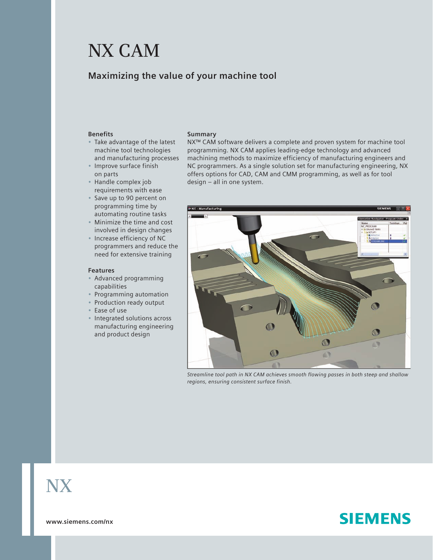# **NX CAM**

## **Maximizing the value of your machine tool**

#### **Benefits**

- Take advantage of the latest machine tool technologies and manufacturing processes
- Improve surface finish on parts
- Handle complex job requirements with ease
- Save up to 90 percent on programming time by automating routine tasks
- Minimize the time and cost involved in design changes
- Increase efficiency of NC programmers and reduce the need for extensive training

#### **Features**

- Advanced programming capabilities
- Programming automation
- Production ready output
- Ease of use
- Integrated solutions across manufacturing engineering and product design

#### **Summary**

NX™ CAM software delivers a complete and proven system for machine tool programming. NX CAM applies leading-edge technology and advanced machining methods to maximize efficiency of manufacturing engineers and NC programmers. As a single solution set for manufacturing engineering, NX offers options for CAD, CAM and CMM programming, as well as for tool design – all in one system.



*Streamline tool path in NX CAM achieves smooth flowing passes in both steep and shallow regions, ensuring consistent surface finish.*

# **NX**

**SIEMENS** 

**www.siemens.com/nx**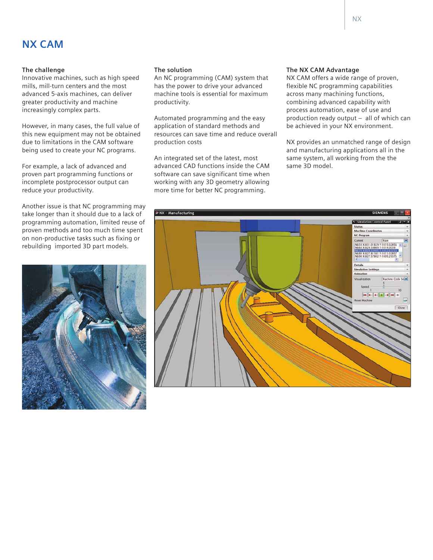## **NX CAM**

#### **The challenge**

Innovative machines, such as high speed mills, mill-turn centers and the most advanced 5-axis machines, can deliver greater productivity and machine increasingly complex parts.

However, in many cases, the full value of this new equipment may not be obtained due to limitations in the CAM software being used to create your NC programs.

For example, a lack of advanced and proven part programming functions or incomplete postprocessor output can reduce your productivity.

Another issue is that NC programming may take longer than it should due to a lack of programming automation, limited reuse of proven methods and too much time spent on non-productive tasks such as fixing or rebuilding imported 3D part models.



#### **The solution**

An NC programming (CAM) system that has the power to drive your advanced machine tools is essential for maximum productivity.

Automated programming and the easy application of standard methods and resources can save time and reduce overall production costs

An integrated set of the latest, most advanced CAD functions inside the CAM software can save significant time when working with any 3D geometry allowing more time for better NC programming.

#### **The NX CAM Advantage**

NX CAM offers a wide range of proven, flexible NC programming capabilities across many machining functions, combining advanced capability with process automation, ease of use and production ready output – all of which can be achieved in your NX environment.

NX provides an unmatched range of design and manufacturing applications all in the same system, all working from the the same 3D model.

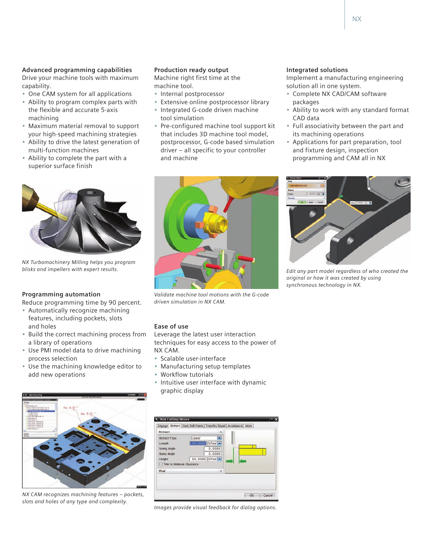#### **Advanced programming capabilities**

Drive your machine tools with maximum capability.

- One CAM system for all applications
- Ability to program complex parts with the flexible and accurate 5-axis machining
- Maximum material removal to support your high-speed machining strategies
- Ability to drive the latest generation of multi-function machines
- Ability to complete the part with a superior surface finish

*NX Turbomachinery Milling helps you program blisks and impellers with expert results.*

### **Programming automation**

Reduce programming time by 90 percent.

- Automatically recognize machining features, including pockets, slots and holes
- Build the correct machining process from a library of operations
- Use PMI model data to drive machining process selection
- Use the machining knowledge editor to add new operations

*NX CAM recognizes machining features – pockets, slots and holes of any type and complexity.*

#### **Production ready output**

Machine right first time at the machine tool.

- Internal postprocessor
- Extensive online postprocessor library • Integrated G-code driven machine
- tool simulation • Pre-configured machine tool support kit
- that includes 3D machine tool model, postprocessor, G-code based simulation driver – all specific to your controller and machine

### **Integrated solutions**

Implement a manufacturing engineering solution all in one system.

- Complete NX CAD/CAM software packages
- Ability to work with any standard format CAD data
- Full associativity between the part and its machining operations
- Applications for part preparation, tool and fixture design, inspection programming and CAM all in NX



*Validate machine tool motions with the G-code driven simulation in NX CAM.*



*Edit any part model regardless of who created the original or how it was created by using synchronous technology in NX.*

#### **Ease of use**

Leverage the latest user interaction techniques for easy access to the power of NX CAM.

- Scalable user-interface
- Manufacturing setup templates
- Workflow tutorials
- Intuitive user interface with dynamic graphic display



*Images provide visual feedback for dialog options.*